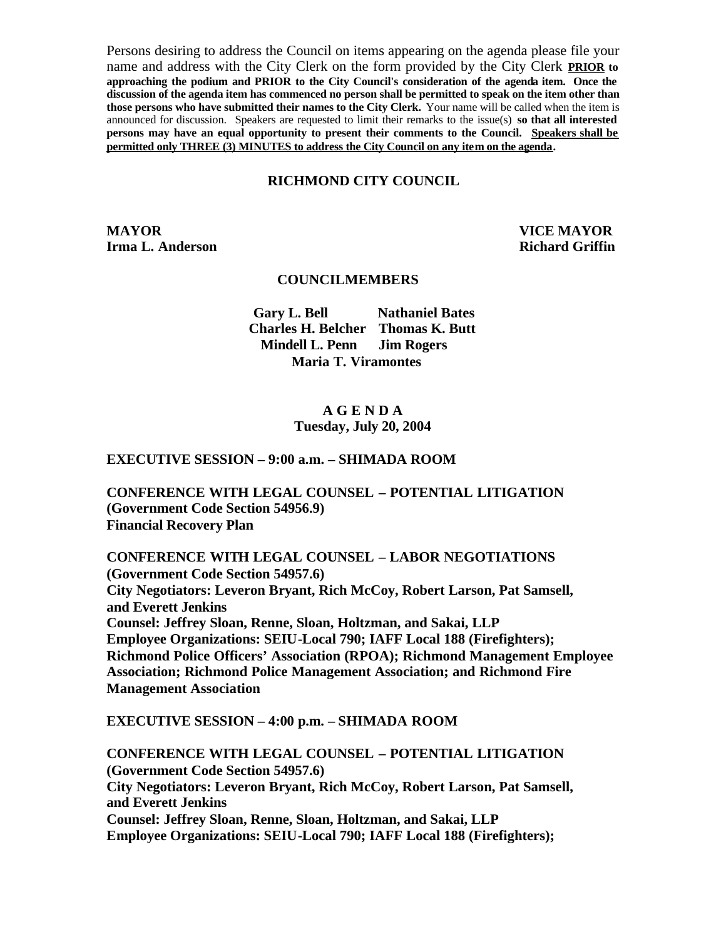Persons desiring to address the Council on items appearing on the agenda please file your name and address with the City Clerk on the form provided by the City Clerk **PRIOR to approaching the podium and PRIOR to the City Council's consideration of the agenda item. Once the**  discussion of the agenda item has commenced no person shall be permitted to speak on the item other than **those persons who have submitted their names to the City Clerk.** Your name will be called when the item is announced for discussion. Speakers are requested to limit their remarks to the issue(s) **so that all interested persons may have an equal opportunity to present their comments to the Council. Speakers shall be permitted only THREE (3) MINUTES to address the City Council on any item on the agenda.**

#### **RICHMOND CITY COUNCIL**

**MAYOR VICE MAYOR Irma L. Anderson Richard Griffin** 

#### **COUNCILMEMBERS**

**Gary L. Bell Nathaniel Bates Charles H. Belcher Thomas K. Butt Mindell L. Penn Jim Rogers Maria T. Viramontes**

#### **A G E N D A Tuesday, July 20, 2004**

#### **EXECUTIVE SESSION – 9:00 a.m. – SHIMADA ROOM**

**CONFERENCE WITH LEGAL COUNSEL – POTENTIAL LITIGATION (Government Code Section 54956.9) Financial Recovery Plan** 

**CONFERENCE WITH LEGAL COUNSEL – LABOR NEGOTIATIONS (Government Code Section 54957.6) City Negotiators: Leveron Bryant, Rich McCoy, Robert Larson, Pat Samsell, and Everett Jenkins Counsel: Jeffrey Sloan, Renne, Sloan, Holtzman, and Sakai, LLP Employee Organizations: SEIU-Local 790; IAFF Local 188 (Firefighters); Richmond Police Officers' Association (RPOA); Richmond Management Employee Association; Richmond Police Management Association; and Richmond Fire Management Association**

**EXECUTIVE SESSION – 4:00 p.m. – SHIMADA ROOM** 

**CONFERENCE WITH LEGAL COUNSEL – POTENTIAL LITIGATION (Government Code Section 54957.6) City Negotiators: Leveron Bryant, Rich McCoy, Robert Larson, Pat Samsell, and Everett Jenkins Counsel: Jeffrey Sloan, Renne, Sloan, Holtzman, and Sakai, LLP Employee Organizations: SEIU-Local 790; IAFF Local 188 (Firefighters);**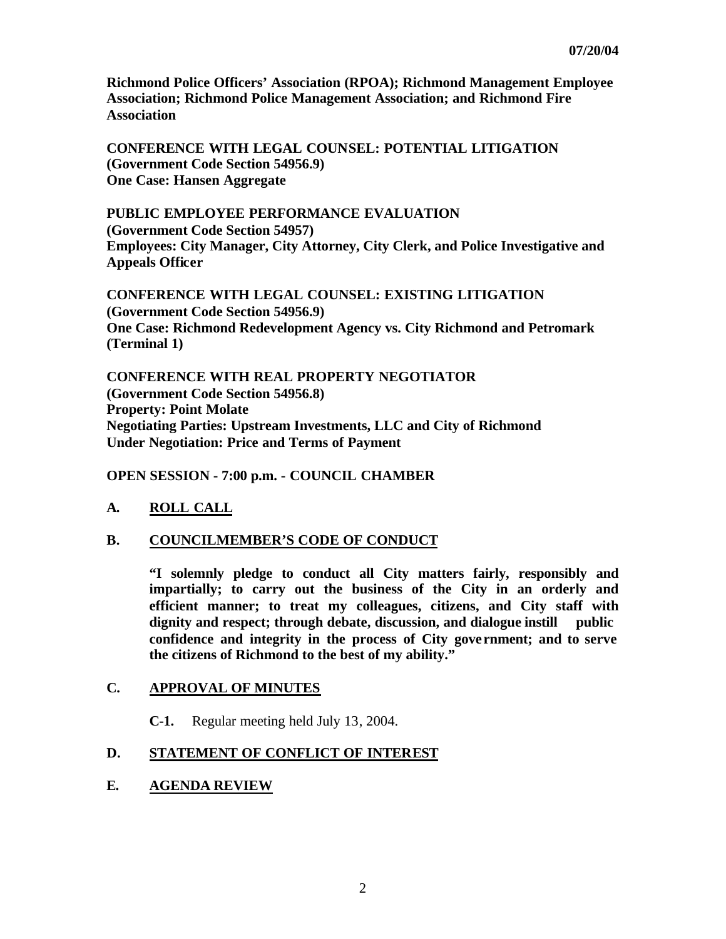**Richmond Police Officers' Association (RPOA); Richmond Management Employee Association; Richmond Police Management Association; and Richmond Fire Association**

**CONFERENCE WITH LEGAL COUNSEL: POTENTIAL LITIGATION (Government Code Section 54956.9) One Case: Hansen Aggregate** 

**PUBLIC EMPLOYEE PERFORMANCE EVALUATION (Government Code Section 54957) Employees: City Manager, City Attorney, City Clerk, and Police Investigative and Appeals Officer**

**CONFERENCE WITH LEGAL COUNSEL: EXISTING LITIGATION (Government Code Section 54956.9) One Case: Richmond Redevelopment Agency vs. City Richmond and Petromark (Terminal 1)** 

**CONFERENCE WITH REAL PROPERTY NEGOTIATOR (Government Code Section 54956.8) Property: Point Molate Negotiating Parties: Upstream Investments, LLC and City of Richmond Under Negotiation: Price and Terms of Payment**

**OPEN SESSION - 7:00 p.m. - COUNCIL CHAMBER**

## **A. ROLL CALL**

### **B. COUNCILMEMBER'S CODE OF CONDUCT**

**"I solemnly pledge to conduct all City matters fairly, responsibly and impartially; to carry out the business of the City in an orderly and efficient manner; to treat my colleagues, citizens, and City staff with dignity and respect; through debate, discussion, and dialogue instill public confidence and integrity in the process of City gove rnment; and to serve the citizens of Richmond to the best of my ability."**

### **C. APPROVAL OF MINUTES**

**C-1.** Regular meeting held July 13, 2004.

## **D. STATEMENT OF CONFLICT OF INTEREST**

## **E. AGENDA REVIEW**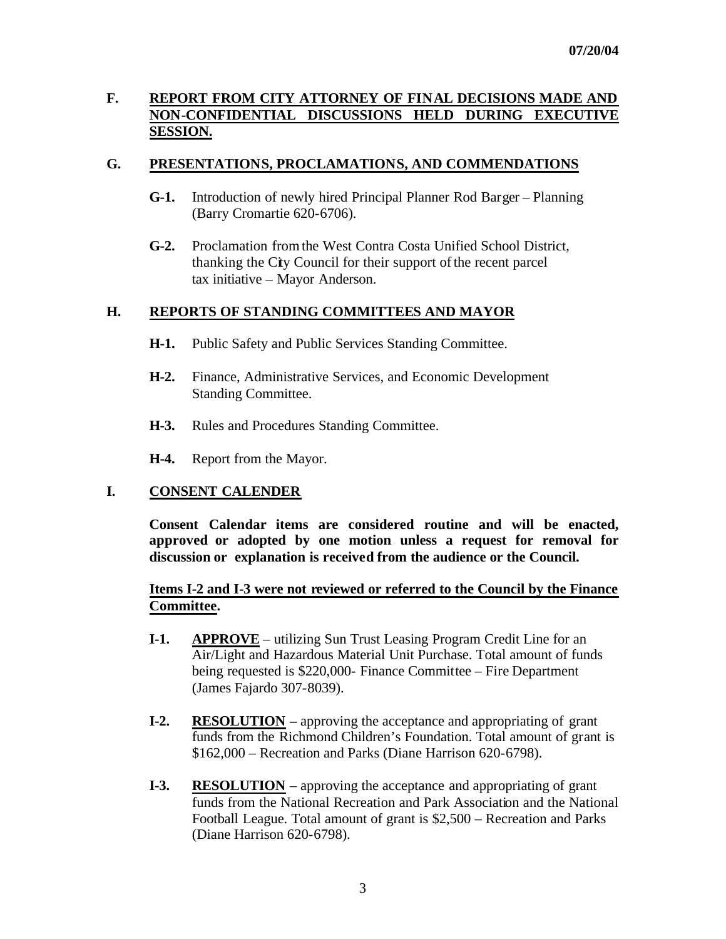# **F. REPORT FROM CITY ATTORNEY OF FINAL DECISIONS MADE AND NON-CONFIDENTIAL DISCUSSIONS HELD DURING EXECUTIVE SESSION.**

## **G. PRESENTATIONS, PROCLAMATIONS, AND COMMENDATIONS**

- **G-1.** Introduction of newly hired Principal Planner Rod Barger Planning (Barry Cromartie 620-6706).
- **G-2.** Proclamation from the West Contra Costa Unified School District, thanking the City Council for their support of the recent parcel tax initiative – Mayor Anderson.

### **H. REPORTS OF STANDING COMMITTEES AND MAYOR**

- **H-1.** Public Safety and Public Services Standing Committee.
- **H-2.** Finance, Administrative Services, and Economic Development Standing Committee.
- **H-3.** Rules and Procedures Standing Committee.
- **H-4.** Report from the Mayor.

### **I. CONSENT CALENDER**

**Consent Calendar items are considered routine and will be enacted, approved or adopted by one motion unless a request for removal for discussion or explanation is received from the audience or the Council.** 

## **Items I-2 and I-3 were not reviewed or referred to the Council by the Finance Committee.**

- **I-1. APPROVE** utilizing Sun Trust Leasing Program Credit Line for an Air/Light and Hazardous Material Unit Purchase. Total amount of funds being requested is \$220,000- Finance Committee – Fire Department (James Fajardo 307-8039).
- **I-2. RESOLUTION –** approving the acceptance and appropriating of grant funds from the Richmond Children's Foundation. Total amount of grant is \$162,000 – Recreation and Parks (Diane Harrison 620-6798).
- **I-3. RESOLUTION** approving the acceptance and appropriating of grant funds from the National Recreation and Park Association and the National Football League. Total amount of grant is \$2,500 – Recreation and Parks (Diane Harrison 620-6798).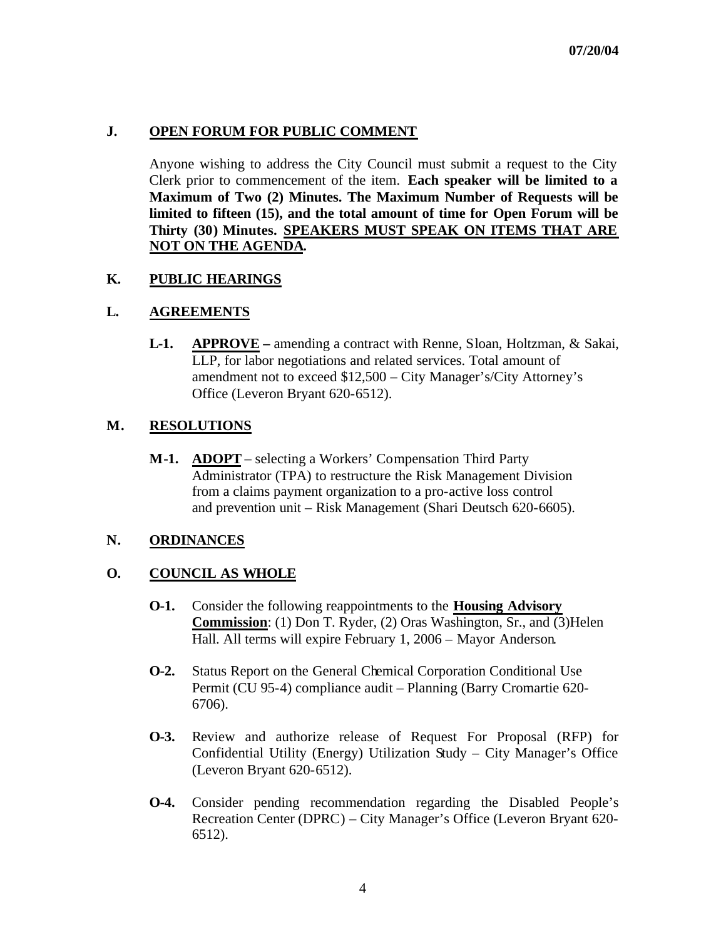# **J. OPEN FORUM FOR PUBLIC COMMENT**

Anyone wishing to address the City Council must submit a request to the City Clerk prior to commencement of the item. **Each speaker will be limited to a Maximum of Two (2) Minutes. The Maximum Number of Requests will be limited to fifteen (15), and the total amount of time for Open Forum will be Thirty (30) Minutes. SPEAKERS MUST SPEAK ON ITEMS THAT ARE NOT ON THE AGENDA.**

## **K. PUBLIC HEARINGS**

## **L. AGREEMENTS**

**L-1. APPROVE –** amending a contract with Renne, Sloan, Holtzman, & Sakai, LLP, for labor negotiations and related services. Total amount of amendment not to exceed \$12,500 – City Manager's/City Attorney's Office (Leveron Bryant 620-6512).

## **M. RESOLUTIONS**

**M-1. ADOPT** – selecting a Workers' Compensation Third Party Administrator (TPA) to restructure the Risk Management Division from a claims payment organization to a pro-active loss control and prevention unit – Risk Management (Shari Deutsch 620-6605).

## **N. ORDINANCES**

## **O. COUNCIL AS WHOLE**

- **O-1.** Consider the following reappointments to the **Housing Advisory Commission**: (1) Don T. Ryder, (2) Oras Washington, Sr., and (3)Helen Hall. All terms will expire February 1, 2006 – Mayor Anderson.
- **O-2.** Status Report on the General Chemical Corporation Conditional Use Permit (CU 95-4) compliance audit – Planning (Barry Cromartie 620- 6706).
- **O-3.** Review and authorize release of Request For Proposal (RFP) for Confidential Utility (Energy) Utilization Study – City Manager's Office (Leveron Bryant 620-6512).
- **O-4.** Consider pending recommendation regarding the Disabled People's Recreation Center (DPRC) – City Manager's Office (Leveron Bryant 620- 6512).